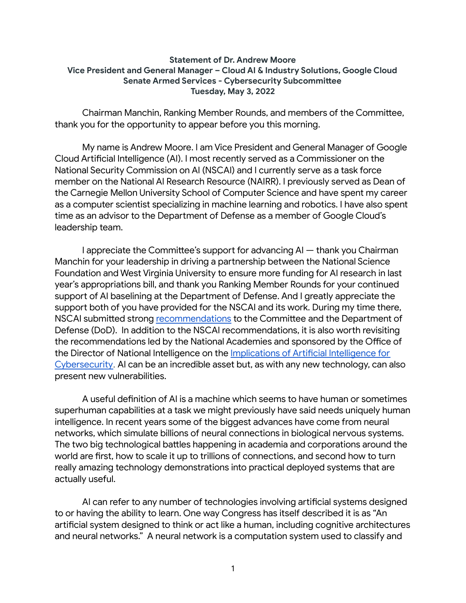## **Statement of Dr. Andrew Moore Vice President and General Manager – Cloud AI & Industry Solutions, Google Cloud Senate Armed Services - Cybersecurity Subcommittee Tuesday, May 3, 2022**

Chairman Manchin, Ranking Member Rounds, and members of the Committee, thank you for the opportunity to appear before you this morning.

My name is Andrew Moore. I am Vice President and General Manager of Google Cloud Artificial Intelligence (AI). I most recently served as a Commissioner on the National Security Commission on AI (NSCAI) and I currently serve as a task force member on the National AI Research Resource (NAIRR). I previously served as Dean of the Carnegie Mellon University School of Computer Science and have spent my career as a computer scientist specializing in machine learning and robotics. I have also spent time as an advisor to the Department of Defense as a member of Google Cloud's leadership team.

I appreciate the Committee's support for advancing AI — thank you Chairman Manchin for your leadership in driving a partnership between the National Science Foundation and West Virginia University to ensure more funding for AI research in last year's appropriations bill, and thank you Ranking Member Rounds for your continued support of AI baselining at the Department of Defense. And I greatly appreciate the support both of you have provided for the NSCAI and its work. During my time there, NSCAI submitted strong [recommendations](https://www.nscai.gov/2021-final-report/) to the Committee and the Department of Defense (DoD). In addition to the NSCAI recommendations, it is also worth revisiting the recommendations led by the National Academies and sponsored by the Office of the Director of National Intelligence on the [Implications](https://www.nationalacademies.org/our-work/implications-of-artificial-intelligence-for-cybersecurity-a-workshop) of Artificial Intelligence for [Cybersecurity](https://www.nationalacademies.org/our-work/implications-of-artificial-intelligence-for-cybersecurity-a-workshop). AI can be an incredible asset but, as with any new technology, can also present new vulnerabilities.

A useful definition of AI is a machine which seems to have human or sometimes superhuman capabilities at a task we might previously have said needs uniquely human intelligence. In recent years some of the biggest advances have come from neural networks, which simulate billions of neural connections in biological nervous systems. The two big technological battles happening in academia and corporations around the world are first, how to scale it up to trillions of connections, and second how to turn really amazing technology demonstrations into practical deployed systems that are actually useful.

AI can refer to any number of technologies involving artificial systems designed to or having the ability to learn. One way Congress has itself described it is as "An artificial system designed to think or act like a human, including cognitive architectures and neural networks." A neural network is a computation system used to classify and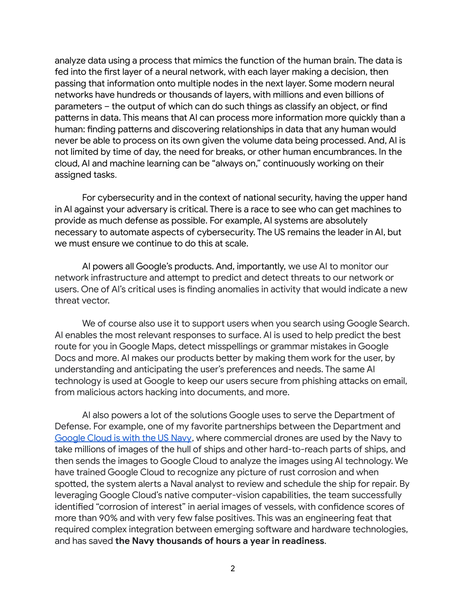analyze data using a process that mimics the function of the human brain. The data is fed into the first layer of a neural network, with each layer making a decision, then passing that information onto multiple nodes in the next layer. Some modern neural networks have hundreds or thousands of layers, with millions and even billions of parameters – the output of which can do such things as classify an object, or find patterns in data. This means that AI can process more information more quickly than a human: finding patterns and discovering relationships in data that any human would never be able to process on its own given the volume data being processed. And, AI is not limited by time of day, the need for breaks, or other human encumbrances. In the cloud, AI and machine learning can be "always on," continuously working on their assigned tasks.

For cybersecurity and in the context of national security, having the upper hand in AI against your adversary is critical. There is a race to see who can get machines to provide as much defense as possible. For example, AI systems are absolutely necessary to automate aspects of cybersecurity. The US remains the leader in AI, but we must ensure we continue to do this at scale.

AI powers all Google's products. And, importantly, we use AI to monitor our network infrastructure and attempt to predict and detect threats to our network or users. One of AI's critical uses is finding anomalies in activity that would indicate a new threat vector.

We of course also use it to support users when you search using Google Search. AI enables the most relevant responses to surface. AI is used to help predict the best route for you in Google Maps, detect misspellings or grammar mistakes in Google Docs and more. AI makes our products better by making them work for the user, by understanding and anticipating the user's preferences and needs. The same AI technology is used at Google to keep our users secure from phishing attacks on email, from malicious actors hacking into documents, and more.

AI also powers a lot of the solutions Google uses to serve the Department of Defense. For example, one of my favorite partnerships between the Department and [Google](https://cloud.google.com/blog/topics/public-sector/us-navy-technology-google-cloud-and-sts-jumpstart-expansion-across-dod-and-beyond) Cloud is with the US Navy, where commercial drones are used by the Navy to take millions of images of the hull of ships and other hard-to-reach parts of ships, and then sends the images to Google Cloud to analyze the images using AI technology. We have trained Google Cloud to recognize any picture of rust corrosion and when spotted, the system alerts a Naval analyst to review and schedule the ship for repair. By leveraging Google Cloud's native computer-vision capabilities, the team successfully identified "corrosion of interest" in aerial images of vessels, with confidence scores of more than 90% and with very few false positives. This was an engineering feat that required complex integration between emerging software and hardware technologies, and has saved **the Navy thousands of hours a year in readiness**.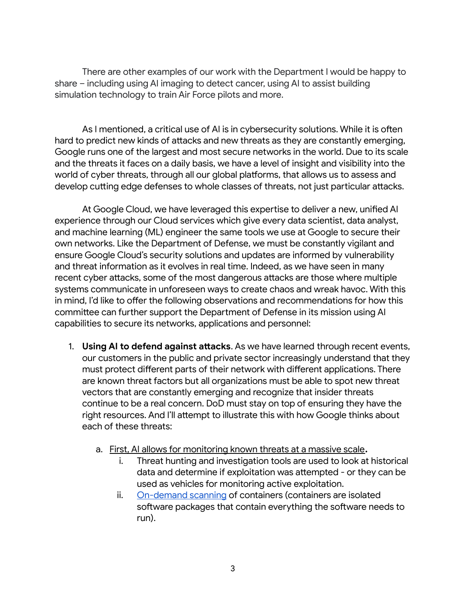There are other examples of our work with the Department I would be happy to share – including using AI imaging to detect cancer, using AI to assist building simulation technology to train Air Force pilots and more.

As I mentioned, a critical use of AI is in cybersecurity solutions. While it is often hard to predict new kinds of attacks and new threats as they are constantly emerging, Google runs one of the largest and most secure networks in the world. Due to its scale and the threats it faces on a daily basis, we have a level of insight and visibility into the world of cyber threats, through all our global platforms, that allows us to assess and develop cutting edge defenses to whole classes of threats, not just particular attacks.

At Google Cloud, we have leveraged this expertise to deliver a new, unified AI experience through our Cloud services which give every data scientist, data analyst, and machine learning (ML) engineer the same tools we use at Google to secure their own networks. Like the Department of Defense, we must be constantly vigilant and ensure Google Cloud's security solutions and updates are informed by vulnerability and [threat](https://www.sdxcentral.com/security/) information as it evolves in real time. Indeed, as we have seen in many recent cyber attacks, some of the most dangerous attacks are those where multiple systems communicate in unforeseen ways to create chaos and wreak havoc. With this in mind, I'd like to offer the following observations and recommendations for how this committee can further support the Department of Defense in its mission using AI capabilities to secure its networks, applications and personnel:

- 1. **Using AI to defend against attacks**. As we have learned through recent events, our customers in the public and private sector increasingly understand that they must protect different parts of their network with different applications. There are known threat factors but all organizations must be able to spot new threat vectors that are constantly emerging and recognize that insider threats continue to be a real concern. DoD must stay on top of ensuring they have the right resources. And I'll attempt to illustrate this with how Google thinks about each of these threats:
	- a. First, AI allows for monitoring known threats at a massive scale**.**
		- i. Threat hunting and investigation tools are used to look at historical data and determine if exploitation was attempted - or they can be used as vehicles for monitoring active exploitation.
		- ii. [On-demand](https://cloud.google.com/container-analysis/docs/container-scanning-overview) scanning of containers (containers are isolated software packages that contain everything the software needs to run).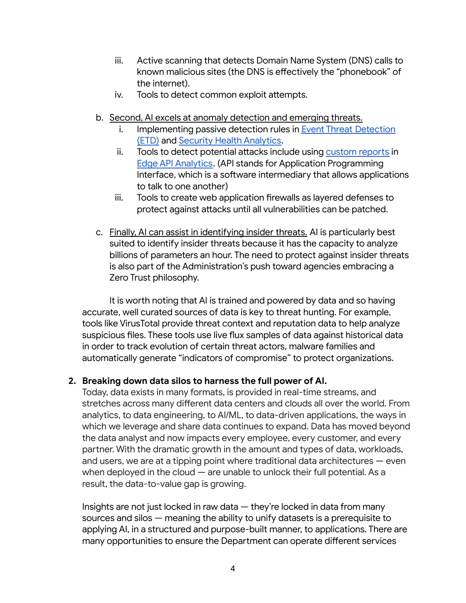- iii. Active scanning that detects Domain Name System (DNS) calls to known malicious sites (the DNS is effectively the "phonebook" of the internet).
- iv. Tools to detect common exploit attempts.
- b. Second, AI excels at anomaly detection and emerging threats.
	- i. Implementing passive detection rules in **Event Threat [Detection](https://cloud.google.com/security-command-center/docs/concepts-event-threat-detection-overview)** [\(ETD\)](https://cloud.google.com/security-command-center/docs/concepts-event-threat-detection-overview) and Security Health [Analytics.](https://cloud.google.com/security-command-center/docs/how-to-use-security-health-analytics)
	- ii. Tools to detect potential attacks include using [custom](https://docs.apigee.com/api-platform/analytics/create-custom-reports) reports in Edge API [Analytics](https://docs.apigee.com/api-platform/analytics/analytics-services-overview). (API stands for Application Programming Interface, which is a software intermediary that allows applications to talk to one another)
	- iii. Tools to create web application firewalls as layered defenses to protect against attacks until all vulnerabilities can be patched.
- c. Finally, AI can assist in identifying insider threats. AI is particularly best suited to identify insider threats because it has the capacity to analyze billions of parameters an hour. The need to protect against insider threats is also part of the Administration's push toward agencies embracing a Zero Trust philosophy.

It is worth noting that AI is trained and powered by data and so having accurate, well curated sources of data is key to threat hunting. For example, tools like VirusTotal provide threat context and reputation data to help analyze suspicious files. These tools use live flux samples of data against historical data in order to track evolution of certain threat actors, malware families and automatically generate "indicators of compromise" to protect organizations.

## **2. Breaking down data silos to harness the full power of AI.**

Today, data exists in many formats, is provided in real-time streams, and stretches across many different data centers and clouds all over the world. From analytics, to data engineering, to AI/ML, to data-driven applications, the ways in which we leverage and share data continues to expand. Data has moved beyond the data analyst and now impacts every employee, every customer, and every partner. With the dramatic growth in the amount and types of data, workloads, and users, we are at a tipping point where traditional data architectures — even when deployed in the cloud — are unable to unlock their full potential. As a result, the data-to-value gap is growing.

Insights are not just locked in raw data — they're locked in data from many sources and silos — meaning the ability to unify datasets is a prerequisite to applying AI, in a structured and purpose-built manner, to applications. There are many opportunities to ensure the Department can operate different services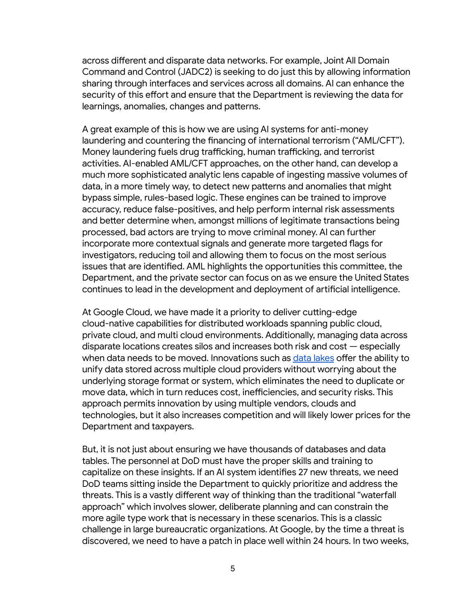across different and disparate data networks. For example, Joint All Domain Command and Control (JADC2) is seeking to do just this by allowing information sharing through interfaces and services across all domains. AI can enhance the security of this effort and ensure that the Department is reviewing the data for learnings, anomalies, changes and patterns.

A great example of this is how we are using AI systems for anti-money laundering and countering the financing of international terrorism ("AML/CFT"). Money laundering fuels drug trafficking, human trafficking, and terrorist activities. AI-enabled AML/CFT approaches, on the other hand, can develop a much more sophisticated analytic lens capable of ingesting massive volumes of data, in a more timely way, to detect new patterns and anomalies that might bypass simple, rules-based logic. These engines can be trained to improve accuracy, reduce false-positives, and help perform internal risk assessments and better determine when, amongst millions of legitimate transactions being processed, bad actors are trying to move criminal money. AI can further incorporate more contextual signals and generate more targeted flags for investigators, reducing toil and allowing them to focus on the most serious issues that are identified. AML highlights the opportunities this committee, the Department, and the private sector can focus on as we ensure the United States continues to lead in the development and deployment of artificial intelligence.

At Google Cloud, we have made it a priority to deliver cutting-edge cloud-native capabilities for distributed workloads spanning public cloud, private cloud, and multi cloud environments. Additionally, managing data across disparate locations creates silos and increases both risk and cost — especially when data needs to be moved. Innovations such as data [lakes](https://cloud.google.com/learn/what-is-a-data-lake) offer the ability to unify data stored across multiple cloud providers without worrying about the underlying storage format or system, which eliminates the need to duplicate or move data, which in turn reduces cost, inefficiencies, and security risks. This approach permits innovation by using multiple vendors, clouds and technologies, but it also increases competition and will likely lower prices for the Department and taxpayers.

But, it is not just about ensuring we have thousands of databases and data tables. The personnel at DoD must have the proper skills and training to capitalize on these insights. If an AI system identifies 27 new threats, we need DoD teams sitting inside the Department to quickly prioritize and address the threats. This is a vastly different way of thinking than the traditional "waterfall approach" which involves slower, deliberate planning and can constrain the more agile type work that is necessary in these scenarios. This is a classic challenge in large bureaucratic organizations. At Google, by the time a threat is discovered, we need to have a patch in place well within 24 hours. In two weeks,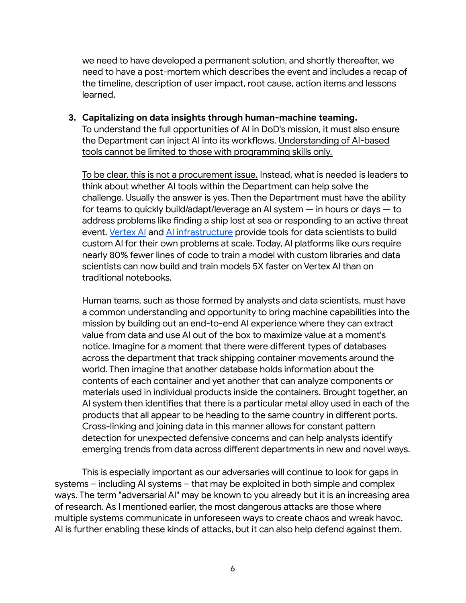we need to have developed a permanent solution, and shortly thereafter, we need to have a post-mortem which describes the event and includes a recap of the timeline, description of user impact, root cause, action items and lessons learned.

**3. Capitalizing on data insights through human-machine teaming.** To understand the full opportunities of AI in DoD's mission, it must also ensure the Department can inject AI into its workflows. Understanding of AI-based tools cannot be limited to those with programming skills only.

To be clear, this is not a procurement issue. Instead, what is needed is leaders to think about whether AI tools within the Department can help solve the challenge. Usually the answer is yes. Then the Department must have the ability for teams to quickly build/adapt/leverage an AI system — in hours or days — to address problems like finding a ship lost at sea or responding to an active threat event. [Vertex](https://cloud.google.com/ai-platform) AI and AI [infrastructure](https://cloud.google.com/tpu/docs/tpus) provide tools for data scientists to build custom AI for their own problems at scale. Today, AI platforms like ours require nearly 80% fewer lines of code to train a model with custom libraries and data scientists can now build and train models 5X faster on Vertex AI than on traditional notebooks.

Human teams, such as those formed by analysts and data scientists, must have a common understanding and opportunity to bring machine capabilities into the mission by building out an end-to-end AI experience where they can extract value from data and use AI out of the box to maximize value at a moment's notice. Imagine for a moment that there were different types of databases across the department that track shipping container movements around the world. Then imagine that another database holds information about the contents of each container and yet another that can analyze components or materials used in individual products inside the containers. Brought together, an AI system then identifies that there is a particular metal alloy used in each of the products that all appear to be heading to the same country in different ports. Cross-linking and joining data in this manner allows for constant pattern detection for unexpected defensive concerns and can help analysts identify emerging trends from data across different departments in new and novel ways.

This is especially important as our adversaries will continue to look for gaps in systems – including AI systems – that may be exploited in both simple and complex ways. The term "adversarial AI" may be known to you already but it is an increasing area of research. As I mentioned earlier, the most dangerous attacks are those where multiple systems communicate in unforeseen ways to create chaos and wreak havoc. AI is further enabling these kinds of attacks, but it can also help defend against them.